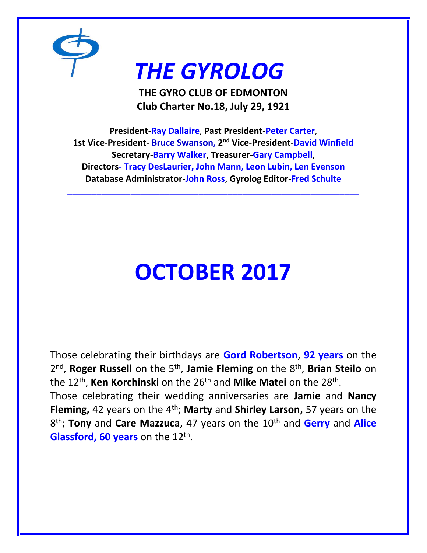

# *THE GYROLOG*

**THE GYRO CLUB OF EDMONTON Club Charter No.18, July 29, 1921**

**President**-**Ray Dallaire**, **Past President**-**Peter Carter**, **1st Vice-President- Bruce Swanson, 2 nd Vice-President-David Winfield Secretary**-**Barry Walker**, **Treasurer**-**Gary Campbell**, **Directors- Tracy DesLaurier, John Mann, Leon Lubin, Len Evenson Database Administrator**-**John Ross**, **Gyrolog Editor**-**Fred Schulte**

**\_\_\_\_\_\_\_\_\_\_\_\_\_\_\_\_\_\_\_\_\_\_\_\_\_\_\_\_\_\_\_\_\_\_\_\_\_\_\_\_\_\_\_\_\_\_\_\_\_\_\_\_\_\_\_\_\_\_\_\_**

# **OCTOBER 2017**

Those celebrating their birthdays are **Gord Robertson**, **92 years** on the 2 nd , **Roger Russell** on the 5th , **Jamie Fleming** on the 8th , **Brian Steilo** on the 12<sup>th</sup>, **Ken Korchinski** on the 26<sup>th</sup> and **Mike Matei** on the 28<sup>th</sup>. Those celebrating their wedding anniversaries are **Jamie** and **Nancy Fleming,** 42 years on the 4<sup>th</sup>; **Marty** and **Shirley Larson,** 57 years on the 8 th; **Tony** and **Care Mazzuca,** 47 years on the 10th and **Gerry** and **Alice** Glassford, 60 years on the 12<sup>th</sup>.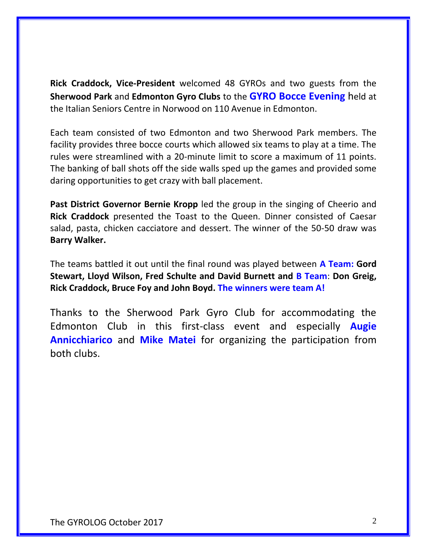**Rick Craddock, Vice-President** welcomed 48 GYROs and two guests from the **Sherwood Park** and **Edmonton Gyro Clubs** to the **GYRO Bocce Evening** held at the Italian Seniors Centre in Norwood on 110 Avenue in Edmonton.

Each team consisted of two Edmonton and two Sherwood Park members. The facility provides three bocce courts which allowed six teams to play at a time. The rules were streamlined with a 20-minute limit to score a maximum of 11 points. The banking of ball shots off the side walls sped up the games and provided some daring opportunities to get crazy with ball placement.

**Past District Governor Bernie Kropp** led the group in the singing of Cheerio and **Rick Craddock** presented the Toast to the Queen. Dinner consisted of Caesar salad, pasta, chicken cacciatore and dessert. The winner of the 50-50 draw was **Barry Walker.**

The teams battled it out until the final round was played between **A Team: Gord Stewart, Lloyd Wilson, Fred Schulte and David Burnett and B Team**: **Don Greig, Rick Craddock, Bruce Foy and John Boyd. The winners were team A!**

Thanks to the Sherwood Park Gyro Club for accommodating the Edmonton Club in this first-class event and especially **Augie Annicchiarico** and **Mike Matei** for organizing the participation from both clubs.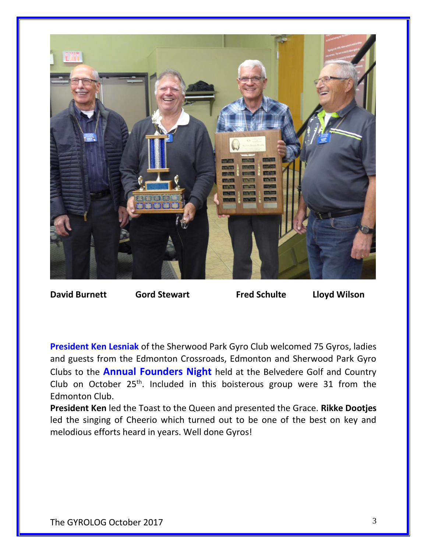

**David Burnett Gord Stewart Fred Schulte Lloyd Wilson**

**President Ken Lesniak** of the Sherwood Park Gyro Club welcomed 75 Gyros, ladies and guests from the Edmonton Crossroads, Edmonton and Sherwood Park Gyro Clubs to the **Annual Founders Night** held at the Belvedere Golf and Country Club on October  $25<sup>th</sup>$ . Included in this boisterous group were 31 from the Edmonton Club.

**President Ken** led the Toast to the Queen and presented the Grace. **Rikke Dootjes** led the singing of Cheerio which turned out to be one of the best on key and melodious efforts heard in years. Well done Gyros!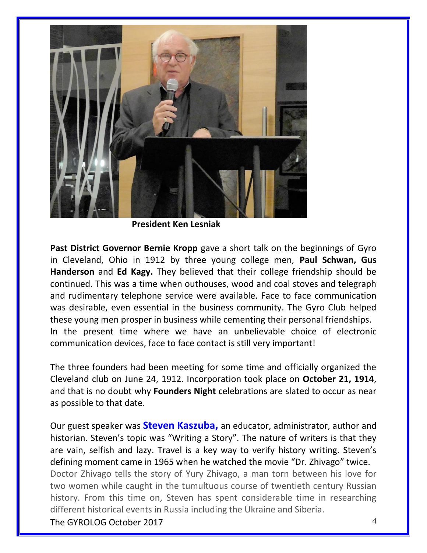

 **President Ken Lesniak**

**Past District Governor Bernie Kropp** gave a short talk on the beginnings of Gyro in Cleveland, Ohio in 1912 by three young college men, **Paul Schwan, Gus Handerson** and **Ed Kagy.** They believed that their college friendship should be continued. This was a time when outhouses, wood and coal stoves and telegraph and rudimentary telephone service were available. Face to face communication was desirable, even essential in the business community. The Gyro Club helped these young men prosper in business while cementing their personal friendships. In the present time where we have an unbelievable choice of electronic communication devices, face to face contact is still very important!

The three founders had been meeting for some time and officially organized the Cleveland club on June 24, 1912. Incorporation took place on **October 21, 1914**, and that is no doubt why **Founders Night** celebrations are slated to occur as near as possible to that date.

The GYROLOG October 2017 4 Our guest speaker was **Steven Kaszuba,** an educator, administrator, author and historian. Steven's topic was "Writing a Story". The nature of writers is that they are vain, selfish and lazy. Travel is a key way to verify history writing. Steven's defining moment came in 1965 when he watched the movie "Dr. Zhivago" twice. Doctor Zhivago tells the story of Yury Zhivago, a man torn between his love for two women while caught in the tumultuous course of twentieth century Russian history. From this time on, Steven has spent considerable time in researching different historical events in Russia including the Ukraine and Siberia.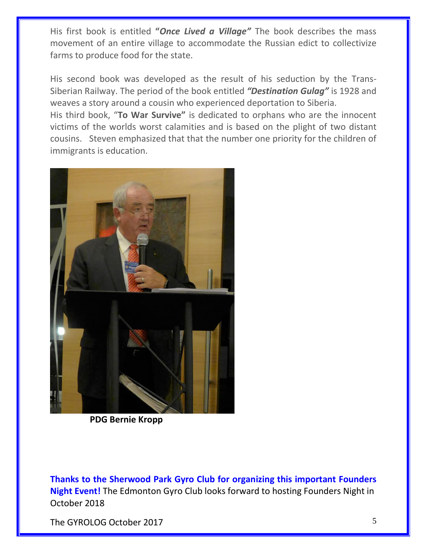His first book is entitled **"***Once Lived a Village"* The book describes the mass movement of an entire village to accommodate the Russian edict to collectivize farms to produce food for the state.

His second book was developed as the result of his seduction by the Trans-Siberian Railway. The period of the book entitled *"Destination Gulag"* is 1928 and weaves a story around a cousin who experienced deportation to Siberia.

His third book, "**To War Survive"** is dedicated to orphans who are the innocent victims of the worlds worst calamities and is based on the plight of two distant cousins. Steven emphasized that that the number one priority for the children of immigrants is education.



**PDG Bernie Kropp**

**Thanks to the Sherwood Park Gyro Club for organizing this important Founders Night Event!** The Edmonton Gyro Club looks forward to hosting Founders Night in October 2018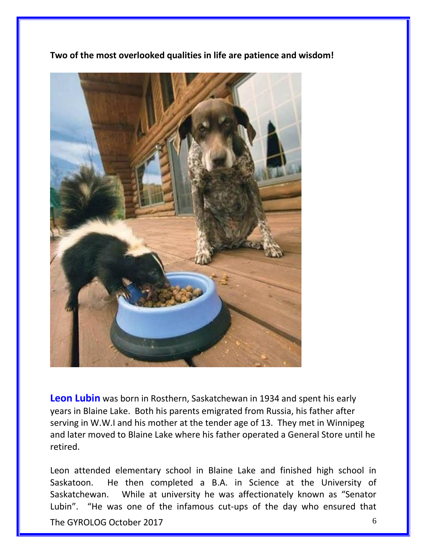

**Two of the most overlooked qualities in life are patience and wisdom!**

**Leon Lubin** was born in Rosthern, Saskatchewan in 1934 and spent his early years in Blaine Lake. Both his parents emigrated from Russia, his father after serving in W.W.I and his mother at the tender age of 13. They met in Winnipeg and later moved to Blaine Lake where his father operated a General Store until he retired.

The GYROLOG October 2017 6 Leon attended elementary school in Blaine Lake and finished high school in Saskatoon. He then completed a B.A. in Science at the University of Saskatchewan. While at university he was affectionately known as "Senator Lubin". "He was one of the infamous cut-ups of the day who ensured that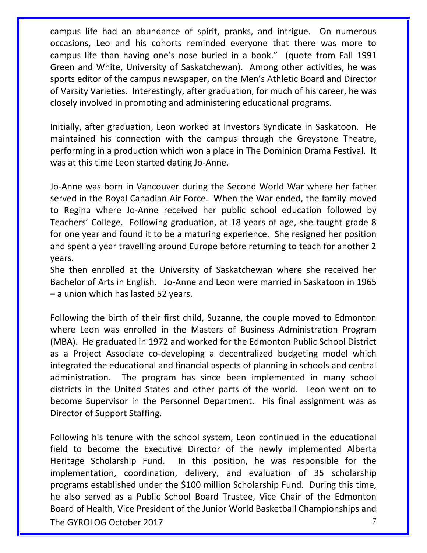campus life had an abundance of spirit, pranks, and intrigue. On numerous occasions, Leo and his cohorts reminded everyone that there was more to campus life than having one's nose buried in a book." (quote from Fall 1991 Green and White, University of Saskatchewan). Among other activities, he was sports editor of the campus newspaper, on the Men's Athletic Board and Director of Varsity Varieties. Interestingly, after graduation, for much of his career, he was closely involved in promoting and administering educational programs.

Initially, after graduation, Leon worked at Investors Syndicate in Saskatoon. He maintained his connection with the campus through the Greystone Theatre, performing in a production which won a place in The Dominion Drama Festival. It was at this time Leon started dating Jo-Anne.

Jo-Anne was born in Vancouver during the Second World War where her father served in the Royal Canadian Air Force. When the War ended, the family moved to Regina where Jo-Anne received her public school education followed by Teachers' College. Following graduation, at 18 years of age, she taught grade 8 for one year and found it to be a maturing experience. She resigned her position and spent a year travelling around Europe before returning to teach for another 2 years.

She then enrolled at the University of Saskatchewan where she received her Bachelor of Arts in English. Jo-Anne and Leon were married in Saskatoon in 1965 – a union which has lasted 52 years.

Following the birth of their first child, Suzanne, the couple moved to Edmonton where Leon was enrolled in the Masters of Business Administration Program (MBA). He graduated in 1972 and worked for the Edmonton Public School District as a Project Associate co-developing a decentralized budgeting model which integrated the educational and financial aspects of planning in schools and central administration. The program has since been implemented in many school districts in the United States and other parts of the world. Leon went on to become Supervisor in the Personnel Department. His final assignment was as Director of Support Staffing.

The GYROLOG October 2017 **7** 2017 **7** Following his tenure with the school system, Leon continued in the educational field to become the Executive Director of the newly implemented Alberta Heritage Scholarship Fund. In this position, he was responsible for the implementation, coordination, delivery, and evaluation of 35 scholarship programs established under the \$100 million Scholarship Fund. During this time, he also served as a Public School Board Trustee, Vice Chair of the Edmonton Board of Health, Vice President of the Junior World Basketball Championships and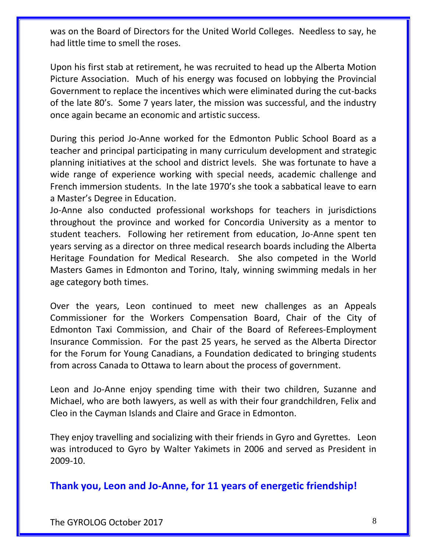was on the Board of Directors for the United World Colleges. Needless to say, he had little time to smell the roses.

Upon his first stab at retirement, he was recruited to head up the Alberta Motion Picture Association. Much of his energy was focused on lobbying the Provincial Government to replace the incentives which were eliminated during the cut-backs of the late 80's. Some 7 years later, the mission was successful, and the industry once again became an economic and artistic success.

During this period Jo-Anne worked for the Edmonton Public School Board as a teacher and principal participating in many curriculum development and strategic planning initiatives at the school and district levels. She was fortunate to have a wide range of experience working with special needs, academic challenge and French immersion students. In the late 1970's she took a sabbatical leave to earn a Master's Degree in Education.

Jo-Anne also conducted professional workshops for teachers in jurisdictions throughout the province and worked for Concordia University as a mentor to student teachers. Following her retirement from education, Jo-Anne spent ten years serving as a director on three medical research boards including the Alberta Heritage Foundation for Medical Research. She also competed in the World Masters Games in Edmonton and Torino, Italy, winning swimming medals in her age category both times.

Over the years, Leon continued to meet new challenges as an Appeals Commissioner for the Workers Compensation Board, Chair of the City of Edmonton Taxi Commission, and Chair of the Board of Referees-Employment Insurance Commission. For the past 25 years, he served as the Alberta Director for the Forum for Young Canadians, a Foundation dedicated to bringing students from across Canada to Ottawa to learn about the process of government.

Leon and Jo-Anne enjoy spending time with their two children, Suzanne and Michael, who are both lawyers, as well as with their four grandchildren, Felix and Cleo in the Cayman Islands and Claire and Grace in Edmonton.

They enjoy travelling and socializing with their friends in Gyro and Gyrettes. Leon was introduced to Gyro by Walter Yakimets in 2006 and served as President in 2009-10.

**Thank you, Leon and Jo-Anne, for 11 years of energetic friendship!**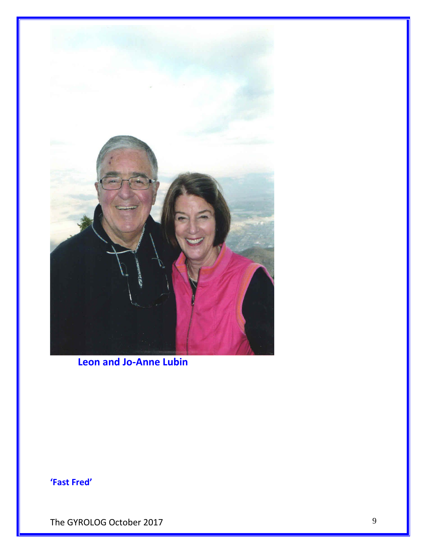

 **Leon and Jo-Anne Lubin**

**'Fast Fred'**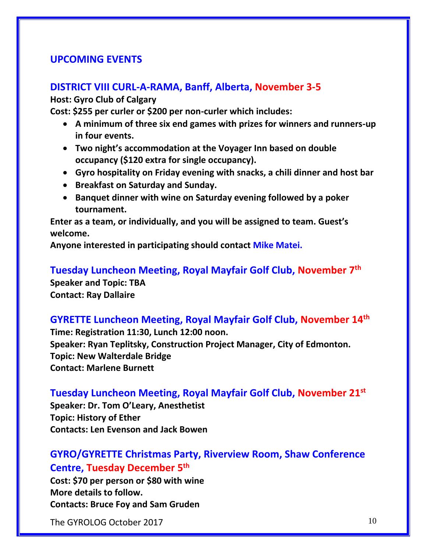## **UPCOMING EVENTS**

### **DISTRICT VIII CURL-A-RAMA, Banff, Alberta, November 3-5**

**Host: Gyro Club of Calgary**

**Cost: \$255 per curler or \$200 per non-curler which includes:**

- **A minimum of three six end games with prizes for winners and runners-up in four events.**
- **Two night's accommodation at the Voyager Inn based on double occupancy (\$120 extra for single occupancy).**
- **Gyro hospitality on Friday evening with snacks, a chili dinner and host bar**
- **Breakfast on Saturday and Sunday.**
- **Banquet dinner with wine on Saturday evening followed by a poker tournament.**

**Enter as a team, or individually, and you will be assigned to team. Guest's welcome.**

**Anyone interested in participating should contact Mike Matei.**

## **Tuesday Luncheon Meeting, Royal Mayfair Golf Club, November 7th**

**Speaker and Topic: TBA Contact: Ray Dallaire**

## **GYRETTE Luncheon Meeting, Royal Mayfair Golf Club, November 14th**

**Time: Registration 11:30, Lunch 12:00 noon. Speaker: Ryan Teplitsky, Construction Project Manager, City of Edmonton. Topic: New Walterdale Bridge Contact: Marlene Burnett**

### **Tuesday Luncheon Meeting, Royal Mayfair Golf Club, November 21st**

**Speaker: Dr. Tom O'Leary, Anesthetist Topic: History of Ether Contacts: Len Evenson and Jack Bowen**

## **GYRO/GYRETTE Christmas Party, Riverview Room, Shaw Conference Centre, Tuesday December 5th**

**Cost: \$70 per person or \$80 with wine More details to follow. Contacts: Bruce Foy and Sam Gruden**